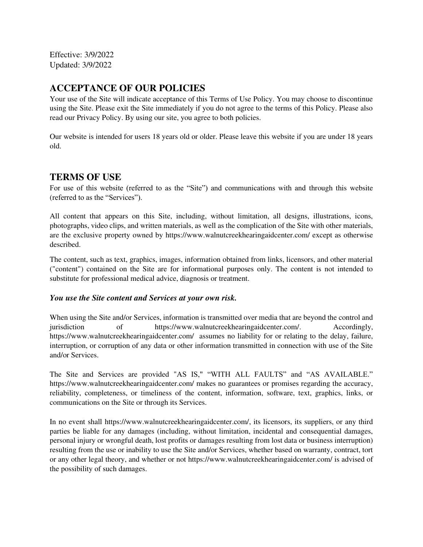Effective: 3/9/2022 Updated: 3/9/2022

# **ACCEPTANCE OF OUR POLICIES**

Your use of the Site will indicate acceptance of this Terms of Use Policy. You may choose to discontinue using the Site. Please exit the Site immediately if you do not agree to the terms of this Policy. Please also read our Privacy Policy. By using our site, you agree to both policies.

Our website is intended for users 18 years old or older. Please leave this website if you are under 18 years old.

#### **TERMS OF USE**

For use of this website (referred to as the "Site") and communications with and through this website (referred to as the "Services").

All content that appears on this Site, including, without limitation, all designs, illustrations, icons, photographs, video clips, and written materials, as well as the complication of the Site with other materials, are the exclusive property owned by https://www.walnutcreekhearingaidcenter.com/ except as otherwise described.

The content, such as text, graphics, images, information obtained from links, licensors, and other material ("content") contained on the Site are for informational purposes only. The content is not intended to substitute for professional medical advice, diagnosis or treatment.

#### *You use the Site content and Services at your own risk.*

When using the Site and/or Services, information is transmitted over media that are beyond the control and jurisdiction of https://www.walnutcreekhearingaidcenter.com/. Accordingly, https://www.walnutcreekhearingaidcenter.com/ assumes no liability for or relating to the delay, failure, interruption, or corruption of any data or other information transmitted in connection with use of the Site and/or Services.

The Site and Services are provided "AS IS," "WITH ALL FAULTS" and "AS AVAILABLE." https://www.walnutcreekhearingaidcenter.com/ makes no guarantees or promises regarding the accuracy, reliability, completeness, or timeliness of the content, information, software, text, graphics, links, or communications on the Site or through its Services.

In no event shall https://www.walnutcreekhearingaidcenter.com/, its licensors, its suppliers, or any third parties be liable for any damages (including, without limitation, incidental and consequential damages, personal injury or wrongful death, lost profits or damages resulting from lost data or business interruption) resulting from the use or inability to use the Site and/or Services, whether based on warranty, contract, tort or any other legal theory, and whether or not https://www.walnutcreekhearingaidcenter.com/ is advised of the possibility of such damages.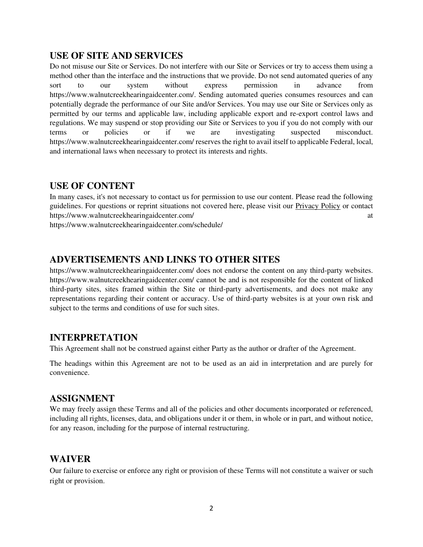#### **USE OF SITE AND SERVICES**

Do not misuse our Site or Services. Do not interfere with our Site or Services or try to access them using a method other than the interface and the instructions that we provide. Do not send automated queries of any sort to our system without express permission in advance from https://www.walnutcreekhearingaidcenter.com/. Sending automated queries consumes resources and can potentially degrade the performance of our Site and/or Services. You may use our Site or Services only as permitted by our terms and applicable law, including applicable export and re-export control laws and regulations. We may suspend or stop providing our Site or Services to you if you do not comply with our terms or policies or if we are investigating suspected misconduct. https://www.walnutcreekhearingaidcenter.com/ reserves the right to avail itself to applicable Federal, local, and international laws when necessary to protect its interests and rights.

### **USE OF CONTENT**

In many cases, it's not necessary to contact us for permission to use our content. Please read the following guidelines. For questions or reprint situations not covered here, please visit our Privacy Policy or contact https://www.walnutcreekhearingaidcenter.com/ at

https://www.walnutcreekhearingaidcenter.com/schedule/

## **ADVERTISEMENTS AND LINKS TO OTHER SITES**

https://www.walnutcreekhearingaidcenter.com/ does not endorse the content on any third-party websites. https://www.walnutcreekhearingaidcenter.com/ cannot be and is not responsible for the content of linked third-party sites, sites framed within the Site or third-party advertisements, and does not make any representations regarding their content or accuracy. Use of third-party websites is at your own risk and subject to the terms and conditions of use for such sites.

### **INTERPRETATION**

This Agreement shall not be construed against either Party as the author or drafter of the Agreement.

The headings within this Agreement are not to be used as an aid in interpretation and are purely for convenience.

### **ASSIGNMENT**

We may freely assign these Terms and all of the policies and other documents incorporated or referenced, including all rights, licenses, data, and obligations under it or them, in whole or in part, and without notice, for any reason, including for the purpose of internal restructuring.

### **WAIVER**

Our failure to exercise or enforce any right or provision of these Terms will not constitute a waiver or such right or provision.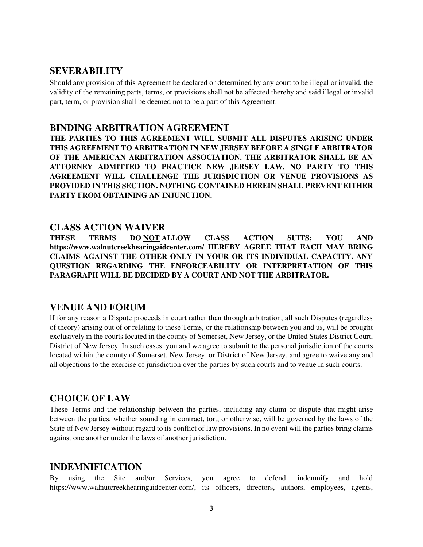#### **SEVERABILITY**

Should any provision of this Agreement be declared or determined by any court to be illegal or invalid, the validity of the remaining parts, terms, or provisions shall not be affected thereby and said illegal or invalid part, term, or provision shall be deemed not to be a part of this Agreement.

#### **BINDING ARBITRATION AGREEMENT**

**THE PARTIES TO THIS AGREEMENT WILL SUBMIT ALL DISPUTES ARISING UNDER THIS AGREEMENT TO ARBITRATION IN NEW JERSEY BEFORE A SINGLE ARBITRATOR OF THE AMERICAN ARBITRATION ASSOCIATION. THE ARBITRATOR SHALL BE AN ATTORNEY ADMITTED TO PRACTICE NEW JERSEY LAW. NO PARTY TO THIS AGREEMENT WILL CHALLENGE THE JURISDICTION OR VENUE PROVISIONS AS PROVIDED IN THIS SECTION. NOTHING CONTAINED HEREIN SHALL PREVENT EITHER PARTY FROM OBTAINING AN INJUNCTION.** 

#### **CLASS ACTION WAIVER**

**THESE TERMS DO NOT ALLOW CLASS ACTION SUITS; YOU AND https://www.walnutcreekhearingaidcenter.com/ HEREBY AGREE THAT EACH MAY BRING CLAIMS AGAINST THE OTHER ONLY IN YOUR OR ITS INDIVIDUAL CAPACITY. ANY QUESTION REGARDING THE ENFORCEABILITY OR INTERPRETATION OF THIS PARAGRAPH WILL BE DECIDED BY A COURT AND NOT THE ARBITRATOR.**

#### **VENUE AND FORUM**

If for any reason a Dispute proceeds in court rather than through arbitration, all such Disputes (regardless of theory) arising out of or relating to these Terms, or the relationship between you and us, will be brought exclusively in the courts located in the county of Somerset, New Jersey, or the United States District Court, District of New Jersey. In such cases, you and we agree to submit to the personal jurisdiction of the courts located within the county of Somerset, New Jersey, or District of New Jersey, and agree to waive any and all objections to the exercise of jurisdiction over the parties by such courts and to venue in such courts.

### **CHOICE OF LAW**

These Terms and the relationship between the parties, including any claim or dispute that might arise between the parties, whether sounding in contract, tort, or otherwise, will be governed by the laws of the State of New Jersey without regard to its conflict of law provisions. In no event will the parties bring claims against one another under the laws of another jurisdiction.

#### **INDEMNIFICATION**

By using the Site and/or Services, you agree to defend, indemnify and hold https://www.walnutcreekhearingaidcenter.com/, its officers, directors, authors, employees, agents,